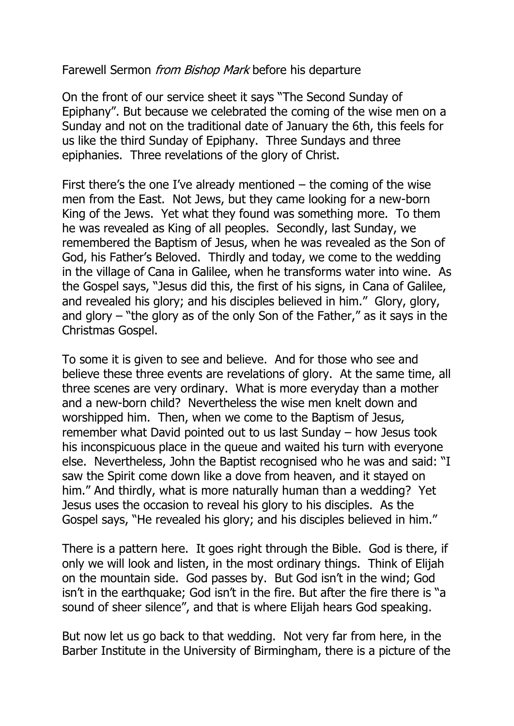Farewell Sermon *from Bishop Mark* before his departure

On the front of our service sheet it says "The Second Sunday of Epiphany". But because we celebrated the coming of the wise men on a Sunday and not on the traditional date of January the 6th, this feels for us like the third Sunday of Epiphany. Three Sundays and three epiphanies. Three revelations of the glory of Christ.

First there's the one I've already mentioned  $-$  the coming of the wise men from the East. Not Jews, but they came looking for a new-born King of the Jews. Yet what they found was something more. To them he was revealed as King of all peoples. Secondly, last Sunday, we remembered the Baptism of Jesus, when he was revealed as the Son of God, his Father's Beloved. Thirdly and today, we come to the wedding in the village of Cana in Galilee, when he transforms water into wine. As the Gospel says, "Jesus did this, the first of his signs, in Cana of Galilee, and revealed his glory; and his disciples believed in him." Glory, glory, and glory – "the glory as of the only Son of the Father," as it says in the Christmas Gospel.

To some it is given to see and believe. And for those who see and believe these three events are revelations of glory. At the same time, all three scenes are very ordinary. What is more everyday than a mother and a new-born child? Nevertheless the wise men knelt down and worshipped him. Then, when we come to the Baptism of Jesus, remember what David pointed out to us last Sunday – how Jesus took his inconspicuous place in the queue and waited his turn with everyone else. Nevertheless, John the Baptist recognised who he was and said: "I saw the Spirit come down like a dove from heaven, and it stayed on him." And thirdly, what is more naturally human than a wedding? Yet Jesus uses the occasion to reveal his glory to his disciples. As the Gospel says, "He revealed his glory; and his disciples believed in him."

There is a pattern here. It goes right through the Bible. God is there, if only we will look and listen, in the most ordinary things. Think of Elijah on the mountain side. God passes by. But God isn't in the wind; God isn't in the earthquake; God isn't in the fire. But after the fire there is "a sound of sheer silence", and that is where Elijah hears God speaking.

But now let us go back to that wedding. Not very far from here, in the Barber Institute in the University of Birmingham, there is a picture of the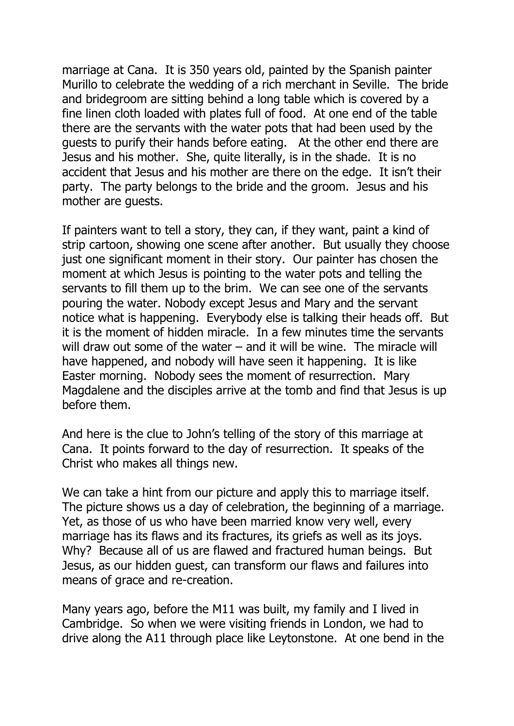marriage at Cana. It is 350 years old, painted by the Spanish painter Murillo to celebrate the wedding of a rich merchant in Seville. The bride and bridegroom are sitting behind a long table which is covered by a fine linen cloth loaded with plates full of food. At one end of the table there are the servants with the water pots that had been used by the guests to purify their hands before eating. At the other end there are Jesus and his mother. She, quite literally, is in the shade. It is no accident that Jesus and his mother are there on the edge. It isn't their party. The party belongs to the bride and the groom. Jesus and his mother are guests.

If painters want to tell a story, they can, if they want, paint a kind of strip cartoon, showing one scene after another. But usually they choose just one significant moment in their story. Our painter has chosen the moment at which Jesus is pointing to the water pots and telling the servants to fill them up to the brim. We can see one of the servants pouring the water. Nobody except Jesus and Mary and the servant notice what is happening. Everybody else is talking their heads off. But it is the moment of hidden miracle. In a few minutes time the servants will draw out some of the water – and it will be wine. The miracle will have happened, and nobody will have seen it happening. It is like Easter morning. Nobody sees the moment of resurrection. Mary Magdalene and the disciples arrive at the tomb and find that Jesus is up before them.

And here is the clue to John's telling of the story of this marriage at Cana. It points forward to the day of resurrection. It speaks of the Christ who makes all things new.

We can take a hint from our picture and apply this to marriage itself. The picture shows us a day of celebration, the beginning of a marriage. Yet, as those of us who have been married know very well, every marriage has its flaws and its fractures, its griefs as well as its joys. Why? Because all of us are flawed and fractured human beings. But Jesus, as our hidden guest, can transform our flaws and failures into means of grace and re-creation.

Many years ago, before the M11 was built, my family and I lived in Cambridge. So when we were visiting friends in London, we had to drive along the A11 through place like Leytonstone. At one bend in the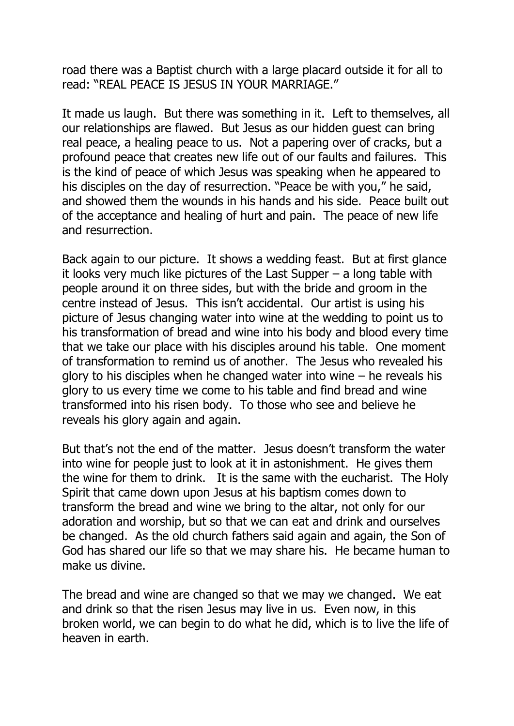road there was a Baptist church with a large placard outside it for all to read: "REAL PEACE IS JESUS IN YOUR MARRIAGE."

It made us laugh. But there was something in it. Left to themselves, all our relationships are flawed. But Jesus as our hidden guest can bring real peace, a healing peace to us. Not a papering over of cracks, but a profound peace that creates new life out of our faults and failures. This is the kind of peace of which Jesus was speaking when he appeared to his disciples on the day of resurrection. "Peace be with you," he said, and showed them the wounds in his hands and his side. Peace built out of the acceptance and healing of hurt and pain. The peace of new life and resurrection.

Back again to our picture. It shows a wedding feast. But at first glance it looks very much like pictures of the Last Supper  $-$  a long table with people around it on three sides, but with the bride and groom in the centre instead of Jesus. This isn't accidental. Our artist is using his picture of Jesus changing water into wine at the wedding to point us to his transformation of bread and wine into his body and blood every time that we take our place with his disciples around his table. One moment of transformation to remind us of another. The Jesus who revealed his glory to his disciples when he changed water into wine  $-$  he reveals his glory to us every time we come to his table and find bread and wine transformed into his risen body. To those who see and believe he reveals his glory again and again.

But that's not the end of the matter. Jesus doesn't transform the water into wine for people just to look at it in astonishment. He gives them the wine for them to drink. It is the same with the eucharist. The Holy Spirit that came down upon Jesus at his baptism comes down to transform the bread and wine we bring to the altar, not only for our adoration and worship, but so that we can eat and drink and ourselves be changed. As the old church fathers said again and again, the Son of God has shared our life so that we may share his. He became human to make us divine.

The bread and wine are changed so that we may we changed. We eat and drink so that the risen Jesus may live in us. Even now, in this broken world, we can begin to do what he did, which is to live the life of heaven in earth.